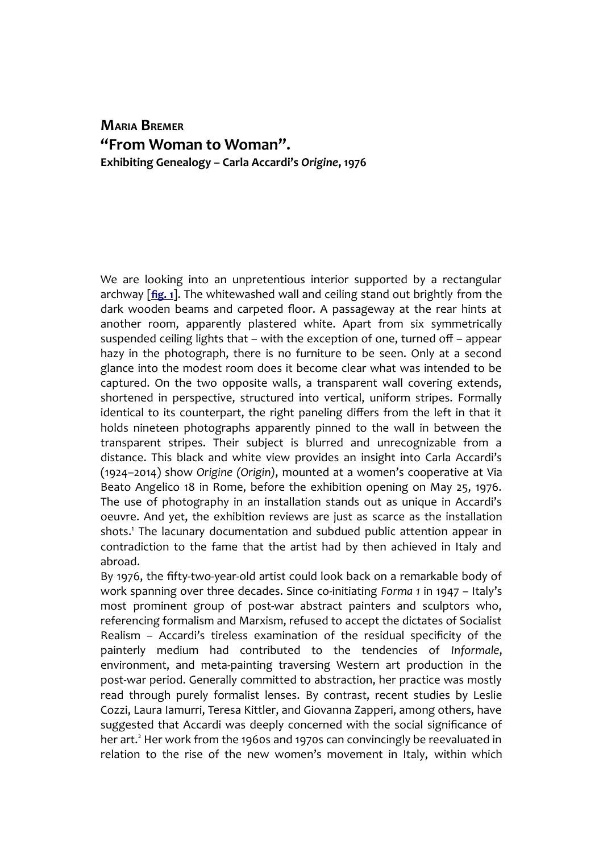# **MARIA BREMER "From Woman to Woman". Exhibiting Genealogy – Carla Accardi's** *Origine***, 1976**

We are looking into an unpretentious interior supported by a rectangular archway [**[fig. 1](http://www.palinsesti.net/index.php/Palinsesti/article/downloadSuppFile/137/502)**]. The whitewashed wall and ceiling stand out brightly from the dark wooden beams and carpeted floor. A passageway at the rear hints at another room, apparently plastered white. Apart from six symmetrically suspended ceiling lights that – with the exception of one, turned off – appear hazy in the photograph, there is no furniture to be seen. Only at a second glance into the modest room does it become clear what was intended to be captured. On the two opposite walls, a transparent wall covering extends, shortened in perspective, structured into vertical, uniform stripes. Formally identical to its counterpart, the right paneling differs from the left in that it holds nineteen photographs apparently pinned to the wall in between the transparent stripes. Their subject is blurred and unrecognizable from a distance. This black and white view provides an insight into Carla Accardi's (1924–2014) show *Origine (Origin)*, mounted at a women's cooperative at Via Beato Angelico 18 in Rome, before the exhibition opening on May 25, 1976. The use of photography in an installation stands out as unique in Accardi's oeuvre. And yet, the exhibition reviews are just as scarce as the installation shots.<sup>1</sup> The lacunary documentation and subdued public attention appear in contradiction to the fame that the artist had by then achieved in Italy and abroad.

By 1976, the fifty-two-year-old artist could look back on a remarkable body of work spanning over three decades. Since co-initiating *Forma 1* in 1947 – Italy's most prominent group of post-war abstract painters and sculptors who, referencing formalism and Marxism, refused to accept the dictates of Socialist Realism – Accardi's tireless examination of the residual specificity of the painterly medium had contributed to the tendencies of *Informale*, environment, and meta-painting traversing Western art production in the post-war period. Generally committed to abstraction, her practice was mostly read through purely formalist lenses. By contrast, recent studies by Leslie Cozzi, Laura Iamurri, Teresa Kittler, and Giovanna Zapperi, among others, have suggested that Accardi was deeply concerned with the social significance of her art.<sup>2</sup> Her work from the 1960s and 1970s can convincingly be reevaluated in relation to the rise of the new women's movement in Italy, within which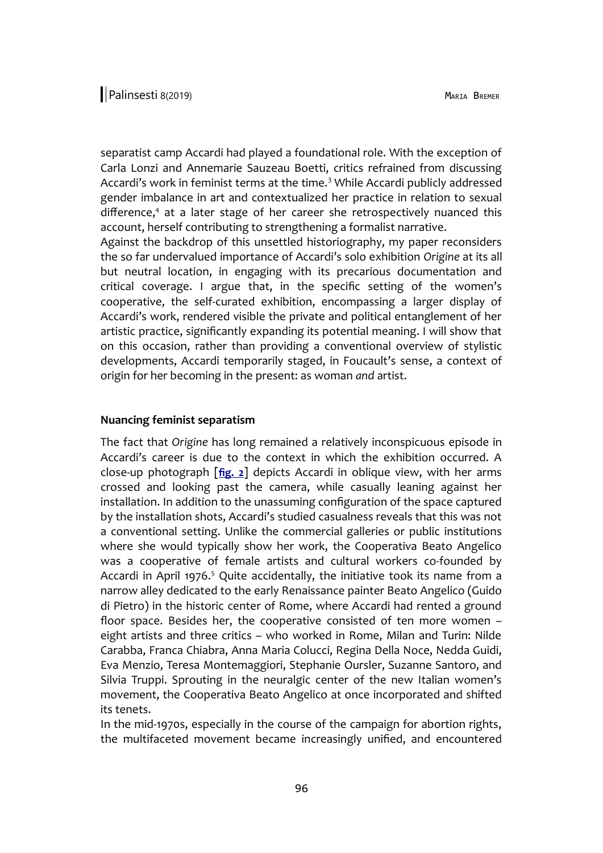separatist camp Accardi had played a foundational role. With the exception of Carla Lonzi and Annemarie Sauzeau Boetti, critics refrained from discussing Accardi's work in feminist terms at the time.<sup>3</sup> While Accardi publicly addressed gender imbalance in art and contextualized her practice in relation to sexual difference,<sup>4</sup> at a later stage of her career she retrospectively nuanced this account, herself contributing to strengthening a formalist narrative.

Against the backdrop of this unsettled historiography, my paper reconsiders the so far undervalued importance of Accardi's solo exhibition *Origine* at its all but neutral location, in engaging with its precarious documentation and critical coverage. I argue that, in the specific setting of the women's cooperative, the self-curated exhibition, encompassing a larger display of Accardi's work, rendered visible the private and political entanglement of her artistic practice, significantly expanding its potential meaning. I will show that on this occasion, rather than providing a conventional overview of stylistic developments, Accardi temporarily staged, in Foucault's sense, a context of origin for her becoming in the present: as woman *and* artist.

#### **Nuancing feminist separatism**

The fact that *Origine* has long remained a relatively inconspicuous episode in Accardi's career is due to the context in which the exhibition occurred. A close-up photograph [**[fig. 2](http://www.palinsesti.net/index.php/Palinsesti/article/downloadSuppFile/137/503)**] depicts Accardi in oblique view, with her arms crossed and looking past the camera, while casually leaning against her installation. In addition to the unassuming configuration of the space captured by the installation shots, Accardi's studied casualness reveals that this was not a conventional setting. Unlike the commercial galleries or public institutions where she would typically show her work, the Cooperativa Beato Angelico was a cooperative of female artists and cultural workers co-founded by Accardi in April 1976.<sup>5</sup> Quite accidentally, the initiative took its name from a narrow alley dedicated to the early Renaissance painter Beato Angelico (Guido di Pietro) in the historic center of Rome, where Accardi had rented a ground floor space. Besides her, the cooperative consisted of ten more women – eight artists and three critics – who worked in Rome, Milan and Turin: Nilde Carabba, Franca Chiabra, Anna Maria Colucci, Regina Della Noce, Nedda Guidi, Eva Menzio, Teresa Montemaggiori, Stephanie Oursler, Suzanne Santoro, and Silvia Truppi. Sprouting in the neuralgic center of the new Italian women's movement, the Cooperativa Beato Angelico at once incorporated and shifted its tenets.

In the mid-1970s, especially in the course of the campaign for abortion rights, the multifaceted movement became increasingly unified, and encountered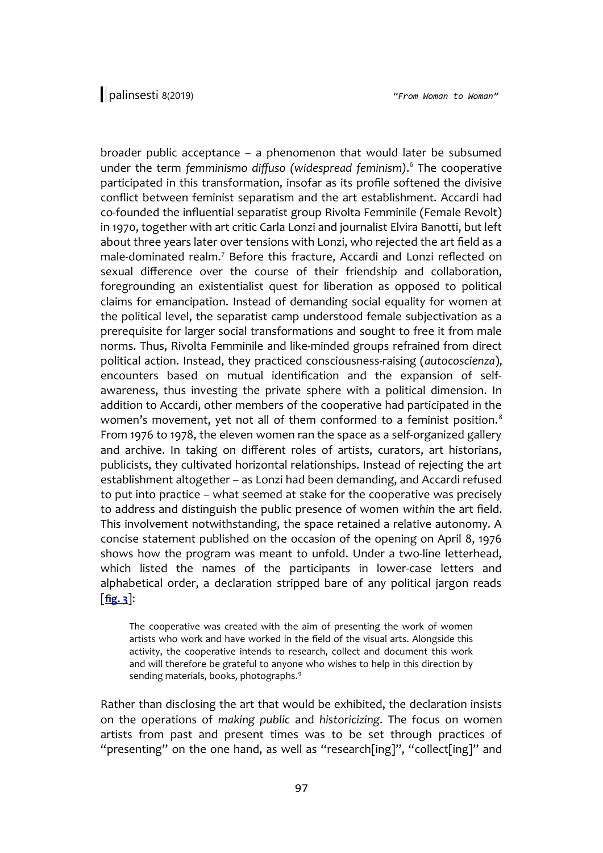broader public acceptance – a phenomenon that would later be subsumed under the term *femminismo diffuso (widespread feminism)*. 6 The cooperative participated in this transformation, insofar as its profile softened the divisive conflict between feminist separatism and the art establishment. Accardi had co-founded the influential separatist group Rivolta Femminile (Female Revolt) in 1970, together with art critic Carla Lonzi and journalist Elvira Banotti, but left about three years later over tensions with Lonzi, who rejected the art field as a male-dominated realm.<sup>7</sup> Before this fracture, Accardi and Lonzi reflected on sexual difference over the course of their friendship and collaboration, foregrounding an existentialist quest for liberation as opposed to political claims for emancipation. Instead of demanding social equality for women at the political level, the separatist camp understood female subjectivation as a prerequisite for larger social transformations and sought to free it from male norms. Thus, Rivolta Femminile and like-minded groups refrained from direct political action. Instead, they practiced consciousness-raising (*autocoscienza*), encounters based on mutual identification and the expansion of selfawareness, thus investing the private sphere with a political dimension. In addition to Accardi, other members of the cooperative had participated in the women's movement, yet not all of them conformed to a feminist position.<sup>8</sup> From 1976 to 1978, the eleven women ran the space as a self-organized gallery and archive. In taking on different roles of artists, curators, art historians, publicists, they cultivated horizontal relationships. Instead of rejecting the art establishment altogether – as Lonzi had been demanding, and Accardi refused to put into practice – what seemed at stake for the cooperative was precisely to address and distinguish the public presence of women *within* the art field. This involvement notwithstanding, the space retained a relative autonomy. A concise statement published on the occasion of the opening on April 8, 1976 shows how the program was meant to unfold. Under a two-line letterhead, which listed the names of the participants in lower-case letters and alphabetical order, a declaration stripped bare of any political jargon reads [**[fig. 3](http://www.palinsesti.net/index.php/Palinsesti/article/downloadSuppFile/137/504)**]:

The cooperative was created with the aim of presenting the work of women artists who work and have worked in the field of the visual arts. Alongside this activity, the cooperative intends to research, collect and document this work and will therefore be grateful to anyone who wishes to help in this direction by sending materials, books, photographs.<sup>9</sup>

Rather than disclosing the art that would be exhibited, the declaration insists on the operations of *making public* and *historicizing*. The focus on women artists from past and present times was to be set through practices of "presenting" on the one hand, as well as "research[ing]", "collect[ing]" and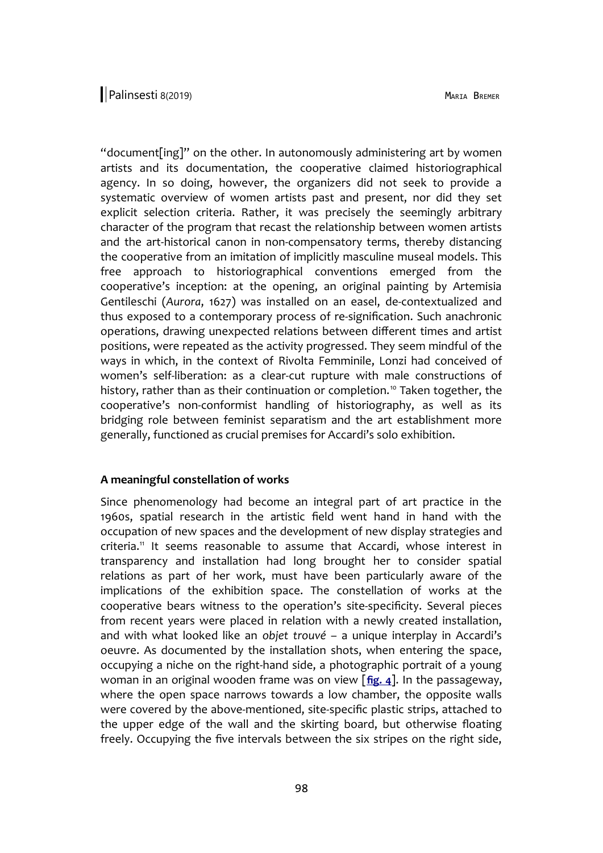"document[ing]" on the other. In autonomously administering art by women artists and its documentation, the cooperative claimed historiographical agency. In so doing, however, the organizers did not seek to provide a systematic overview of women artists past and present, nor did they set explicit selection criteria. Rather, it was precisely the seemingly arbitrary character of the program that recast the relationship between women artists and the art-historical canon in non-compensatory terms, thereby distancing the cooperative from an imitation of implicitly masculine museal models. This free approach to historiographical conventions emerged from the cooperative's inception: at the opening, an original painting by Artemisia Gentileschi (*Aurora*, 1627) was installed on an easel, de-contextualized and thus exposed to a contemporary process of re-signification. Such anachronic operations, drawing unexpected relations between different times and artist positions, were repeated as the activity progressed. They seem mindful of the ways in which, in the context of Rivolta Femminile, Lonzi had conceived of women's self-liberation: as a clear-cut rupture with male constructions of history, rather than as their continuation or completion.<sup>10</sup> Taken together, the cooperative's non-conformist handling of historiography, as well as its bridging role between feminist separatism and the art establishment more generally, functioned as crucial premises for Accardi's solo exhibition.

### **A meaningful constellation of works**

Since phenomenology had become an integral part of art practice in the 1960s, spatial research in the artistic field went hand in hand with the occupation of new spaces and the development of new display strategies and criteria.<sup>11</sup> It seems reasonable to assume that Accardi, whose interest in transparency and installation had long brought her to consider spatial relations as part of her work, must have been particularly aware of the implications of the exhibition space. The constellation of works at the cooperative bears witness to the operation's site-specificity. Several pieces from recent years were placed in relation with a newly created installation, and with what looked like an *objet trouvé* – a unique interplay in Accardi's oeuvre. As documented by the installation shots, when entering the space, occupying a niche on the right-hand side, a photographic portrait of a young woman in an original wooden frame was on view [**[fig. 4](http://www.palinsesti.net/index.php/Palinsesti/article/downloadSuppFile/137/505)**]. In the passageway, where the open space narrows towards a low chamber, the opposite walls were covered by the above-mentioned, site-specific plastic strips, attached to the upper edge of the wall and the skirting board, but otherwise floating freely. Occupying the five intervals between the six stripes on the right side,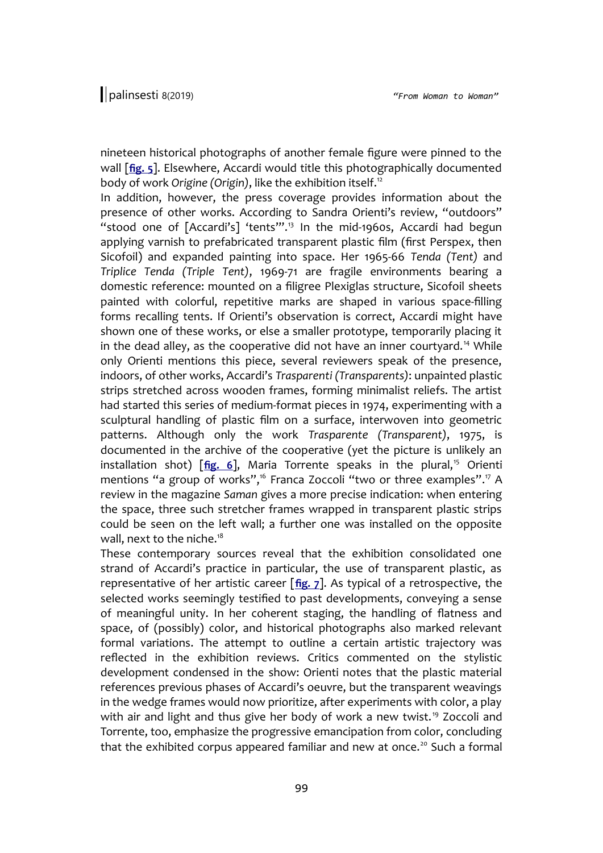nineteen historical photographs of another female figure were pinned to the wall [**[fig. 5](http://www.palinsesti.net/index.php/Palinsesti/article/downloadSuppFile/137/506)**]. Elsewhere, Accardi would title this photographically documented body of work *Origine (Origin)*, like the exhibition itself.<sup>12</sup>

In addition, however, the press coverage provides information about the presence of other works. According to Sandra Orienti's review, "outdoors" "stood one of [Accardi's] 'tents"".<sup>13</sup> In the mid-1960s, Accardi had begun applying varnish to prefabricated transparent plastic film (first Perspex, then Sicofoil) and expanded painting into space. Her 1965-66 *Tenda (Tent)* and *Triplice Tenda (Triple Tent)*, 1969-71 are fragile environments bearing a domestic reference: mounted on a filigree Plexiglas structure, Sicofoil sheets painted with colorful, repetitive marks are shaped in various space-filling forms recalling tents. If Orienti's observation is correct, Accardi might have shown one of these works, or else a smaller prototype, temporarily placing it in the dead alley, as the cooperative did not have an inner courtyard.<sup>14</sup> While only Orienti mentions this piece, several reviewers speak of the presence, indoors, of other works, Accardi's *Trasparenti (Transparents)*: unpainted plastic strips stretched across wooden frames, forming minimalist reliefs. The artist had started this series of medium-format pieces in 1974, experimenting with a sculptural handling of plastic film on a surface, interwoven into geometric patterns. Although only the work *Trasparente (Transparent)*, 1975, is documented in the archive of the cooperative (yet the picture is unlikely an installation shot) [[fig. 6](http://www.palinsesti.net/index.php/Palinsesti/article/downloadSuppFile/137/507)], Maria Torrente speaks in the plural,<sup>15</sup> Orienti mentions "a group of works",<sup>16</sup> Franca Zoccoli "two or three examples".<sup>17</sup> A review in the magazine *Saman* gives a more precise indication: when entering the space, three such stretcher frames wrapped in transparent plastic strips could be seen on the left wall; a further one was installed on the opposite wall, next to the niche.<sup>18</sup>

These contemporary sources reveal that the exhibition consolidated one strand of Accardi's practice in particular, the use of transparent plastic, as representative of her artistic career [**[fig. 7](http://www.palinsesti.net/index.php/Palinsesti/article/downloadSuppFile/137/508)**]. As typical of a retrospective, the selected works seemingly testified to past developments, conveying a sense of meaningful unity. In her coherent staging, the handling of flatness and space, of (possibly) color, and historical photographs also marked relevant formal variations. The attempt to outline a certain artistic trajectory was reflected in the exhibition reviews. Critics commented on the stylistic development condensed in the show: Orienti notes that the plastic material references previous phases of Accardi's oeuvre, but the transparent weavings in the wedge frames would now prioritize, after experiments with color, a play with air and light and thus give her body of work a new twist.<sup>19</sup> Zoccoli and Torrente, too, emphasize the progressive emancipation from color, concluding that the exhibited corpus appeared familiar and new at once.<sup>20</sup> Such a formal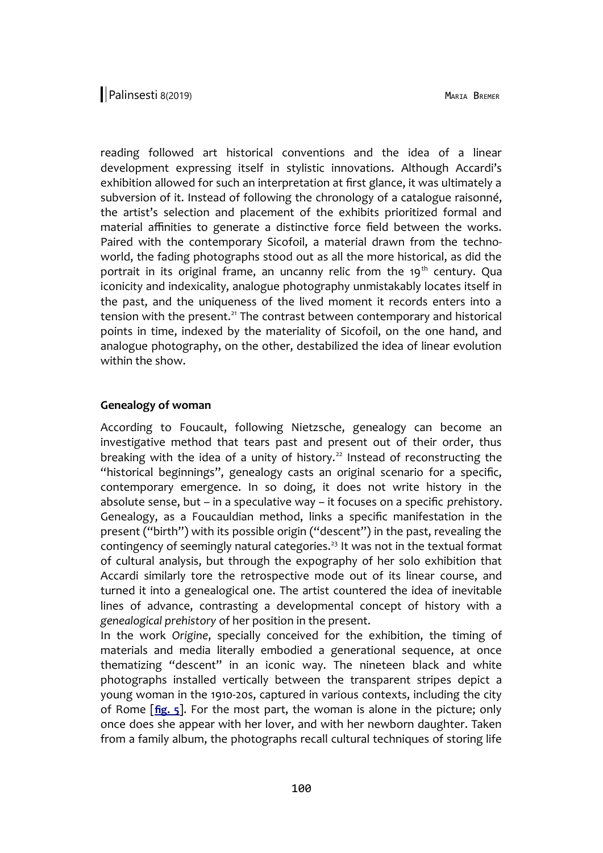reading followed art historical conventions and the idea of a linear development expressing itself in stylistic innovations. Although Accardi's exhibition allowed for such an interpretation at first glance, it was ultimately a subversion of it. Instead of following the chronology of a catalogue raisonné, the artist's selection and placement of the exhibits prioritized formal and material affinities to generate a distinctive force field between the works. Paired with the contemporary Sicofoil, a material drawn from the technoworld, the fading photographs stood out as all the more historical, as did the portrait in its original frame, an uncanny relic from the 19<sup>th</sup> century. Qua iconicity and indexicality, analogue photography unmistakably locates itself in the past, and the uniqueness of the lived moment it records enters into a tension with the present.<sup>21</sup> The contrast between contemporary and historical points in time, indexed by the materiality of Sicofoil, on the one hand, and analogue photography, on the other, destabilized the idea of linear evolution within the show.

## **Genealogy of woman**

According to Foucault, following Nietzsche, genealogy can become an investigative method that tears past and present out of their order, thus breaking with the idea of a unity of history.<sup>22</sup> Instead of reconstructing the "historical beginnings", genealogy casts an original scenario for a specific, contemporary emergence. In so doing, it does not write history in the absolute sense, but – in a speculative way – it focuses on a specific *pre*history. Genealogy, as a Foucauldian method, links a specific manifestation in the present ("birth") with its possible origin ("descent") in the past, revealing the contingency of seemingly natural categories.<sup>23</sup> It was not in the textual format of cultural analysis, but through the expography of her solo exhibition that Accardi similarly tore the retrospective mode out of its linear course, and turned it into a genealogical one. The artist countered the idea of inevitable lines of advance, contrasting a developmental concept of history with a *genealogical prehistory* of her position in the present.

In the work *Origine*, specially conceived for the exhibition, the timing of materials and media literally embodied a generational sequence, at once thematizing "descent" in an iconic way. The nineteen black and white photographs installed vertically between the transparent stripes depict a young woman in the 1910-20s, captured in various contexts, including the city of Rome [**[fig. 5](http://www.palinsesti.net/index.php/Palinsesti/article/downloadSuppFile/137/506)**]. For the most part, the woman is alone in the picture; only once does she appear with her lover, and with her newborn daughter. Taken from a family album, the photographs recall cultural techniques of storing life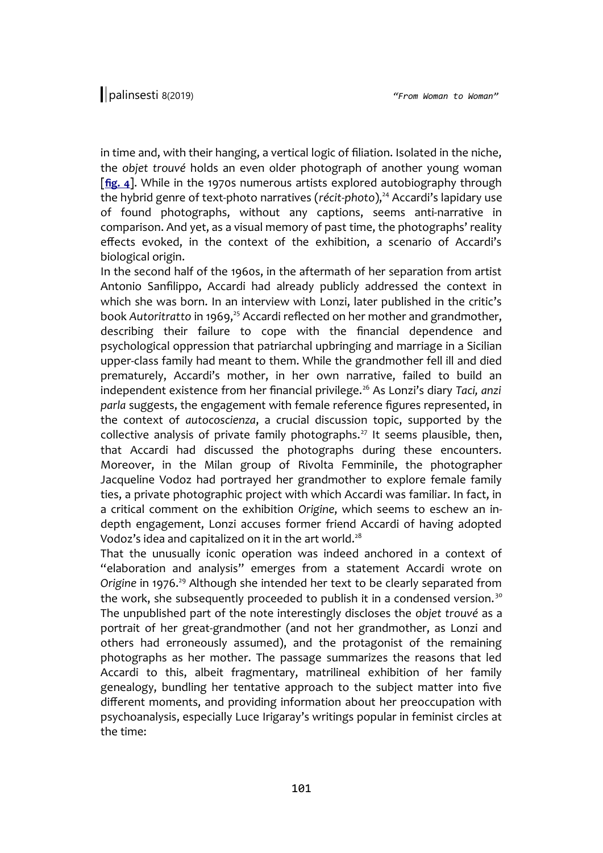in time and, with their hanging, a vertical logic of filiation. Isolated in the niche, the *objet trouvé* holds an even older photograph of another young woman [**[fig. 4](http://www.palinsesti.net/index.php/Palinsesti/article/downloadSuppFile/137/505)**]. While in the 1970s numerous artists explored autobiography through the hybrid genre of text-photo narratives (récit-photo),<sup>24</sup> Accardi's lapidary use of found photographs, without any captions, seems anti-narrative in comparison. And yet, as a visual memory of past time, the photographs' reality effects evoked, in the context of the exhibition, a scenario of Accardi's biological origin.

In the second half of the 1960s, in the aftermath of her separation from artist Antonio Sanfilippo, Accardi had already publicly addressed the context in which she was born. In an interview with Lonzi, later published in the critic's book Autoritratto in 1969,<sup>25</sup> Accardi reflected on her mother and grandmother, describing their failure to cope with the financial dependence and psychological oppression that patriarchal upbringing and marriage in a Sicilian upper-class family had meant to them. While the grandmother fell ill and died prematurely, Accardi's mother, in her own narrative, failed to build an independent existence from her financial privilege.<sup>26</sup> As Lonzi's diary *Taci, anzi parla* suggests, the engagement with female reference figures represented, in the context of *autocoscienza*, a crucial discussion topic, supported by the collective analysis of private family photographs.<sup>27</sup> It seems plausible, then, that Accardi had discussed the photographs during these encounters. Moreover, in the Milan group of Rivolta Femminile, the photographer Jacqueline Vodoz had portrayed her grandmother to explore female family ties, a private photographic project with which Accardi was familiar. In fact, in a critical comment on the exhibition *Origine*, which seems to eschew an indepth engagement, Lonzi accuses former friend Accardi of having adopted Vodoz's idea and capitalized on it in the art world. $^{28}$ 

That the unusually iconic operation was indeed anchored in a context of "elaboration and analysis" emerges from a statement Accardi wrote on Origine in 1976.<sup>29</sup> Although she intended her text to be clearly separated from the work, she subsequently proceeded to publish it in a condensed version.<sup>30</sup> The unpublished part of the note interestingly discloses the *objet trouvé* as a portrait of her great-grandmother (and not her grandmother, as Lonzi and others had erroneously assumed), and the protagonist of the remaining photographs as her mother. The passage summarizes the reasons that led Accardi to this, albeit fragmentary, matrilineal exhibition of her family genealogy, bundling her tentative approach to the subject matter into five different moments, and providing information about her preoccupation with psychoanalysis, especially Luce Irigaray's writings popular in feminist circles at the time: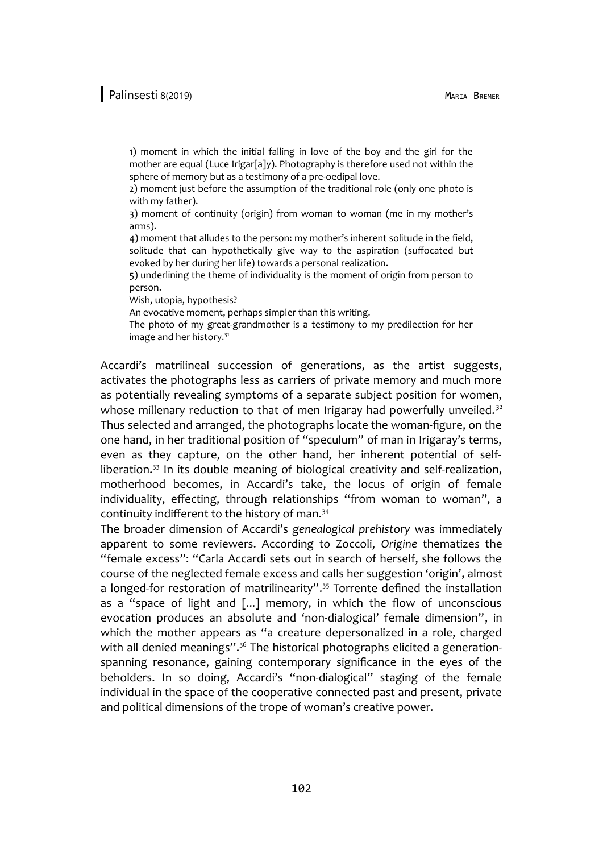1) moment in which the initial falling in love of the boy and the girl for the mother are equal (Luce Irigar[a]y). Photography is therefore used not within the sphere of memory but as a testimony of a pre-oedipal love.

2) moment just before the assumption of the traditional role (only one photo is with my father).

3) moment of continuity (origin) from woman to woman (me in my mother's arms).

4) moment that alludes to the person: my mother's inherent solitude in the field, solitude that can hypothetically give way to the aspiration (suffocated but evoked by her during her life) towards a personal realization.

5) underlining the theme of individuality is the moment of origin from person to person.

Wish, utopia, hypothesis?

An evocative moment, perhaps simpler than this writing.

The photo of my great-grandmother is a testimony to my predilection for her image and her history.<sup>31</sup>

Accardi's matrilineal succession of generations, as the artist suggests, activates the photographs less as carriers of private memory and much more as potentially revealing symptoms of a separate subject position for women, whose millenary reduction to that of men Irigaray had powerfully unveiled.<sup>32</sup> Thus selected and arranged, the photographs locate the woman-figure, on the one hand, in her traditional position of "speculum" of man in Irigaray's terms, even as they capture, on the other hand, her inherent potential of selfliberation.<sup>33</sup> In its double meaning of biological creativity and self-realization, motherhood becomes, in Accardi's take, the locus of origin of female individuality, effecting, through relationships "from woman to woman", a continuity indifferent to the history of man.<sup>34</sup>

The broader dimension of Accardi's *genealogical prehistory* was immediately apparent to some reviewers. According to Zoccoli, *Origine* thematizes the "female excess": "Carla Accardi sets out in search of herself, she follows the course of the neglected female excess and calls her suggestion 'origin', almost a longed-for restoration of matrilinearity".<sup>35</sup> Torrente defined the installation as a "space of light and [...] memory, in which the flow of unconscious evocation produces an absolute and 'non-dialogical' female dimension", in which the mother appears as "a creature depersonalized in a role, charged with all denied meanings".<sup>36</sup> The historical photographs elicited a generationspanning resonance, gaining contemporary significance in the eyes of the beholders. In so doing, Accardi's "non-dialogical" staging of the female individual in the space of the cooperative connected past and present, private and political dimensions of the trope of woman's creative power.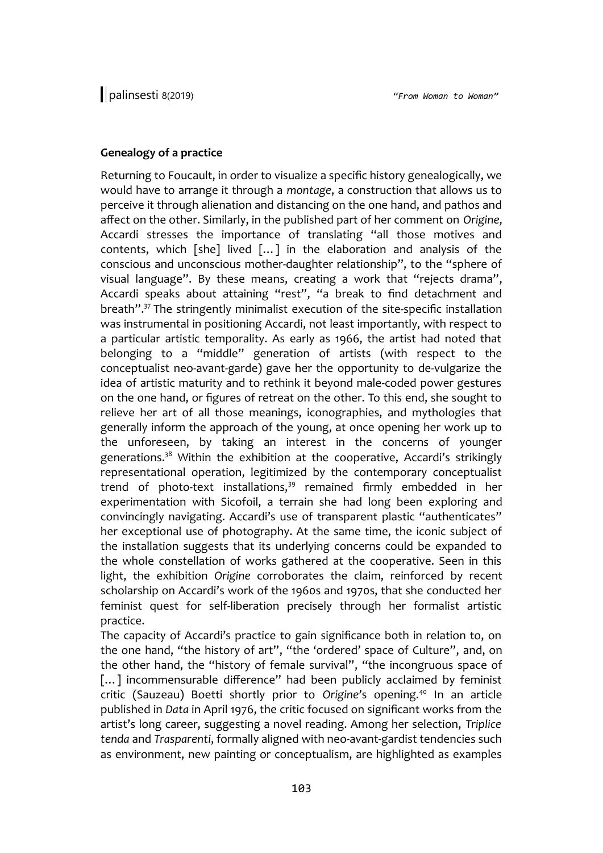## **Genealogy of a practice**

Returning to Foucault, in order to visualize a specific history genealogically, we would have to arrange it through a *montage*, a construction that allows us to perceive it through alienation and distancing on the one hand, and pathos and affect on the other. Similarly, in the published part of her comment on *Origine*, Accardi stresses the importance of translating "all those motives and contents, which [she] lived […] in the elaboration and analysis of the conscious and unconscious mother-daughter relationship", to the "sphere of visual language". By these means, creating a work that "rejects drama", Accardi speaks about attaining "rest", "a break to find detachment and breath". <sup>37</sup> The stringently minimalist execution of the site-specific installation was instrumental in positioning Accardi, not least importantly, with respect to a particular artistic temporality. As early as 1966, the artist had noted that belonging to a "middle" generation of artists (with respect to the conceptualist neo-avant-garde) gave her the opportunity to de-vulgarize the idea of artistic maturity and to rethink it beyond male-coded power gestures on the one hand, or figures of retreat on the other. To this end, she sought to relieve her art of all those meanings, iconographies, and mythologies that generally inform the approach of the young, at once opening her work up to the unforeseen, by taking an interest in the concerns of younger generations.<sup>38</sup> Within the exhibition at the cooperative, Accardi's strikingly representational operation, legitimized by the contemporary conceptualist trend of photo-text installations, $39$  remained firmly embedded in her experimentation with Sicofoil, a terrain she had long been exploring and convincingly navigating. Accardi's use of transparent plastic "authenticates" her exceptional use of photography. At the same time, the iconic subject of the installation suggests that its underlying concerns could be expanded to the whole constellation of works gathered at the cooperative. Seen in this light, the exhibition *Origine* corroborates the claim, reinforced by recent scholarship on Accardi's work of the 1960s and 1970s, that she conducted her feminist quest for self-liberation precisely through her formalist artistic practice.

The capacity of Accardi's practice to gain significance both in relation to, on the one hand, "the history of art", "the 'ordered' space of Culture", and, on the other hand, the "history of female survival", "the incongruous space of [...] incommensurable difference" had been publicly acclaimed by feminist critic (Sauzeau) Boetti shortly prior to *Origine*'s opening.<sup>40</sup> In an article published in *Data* in April 1976, the critic focused on significant works from the artist's long career, suggesting a novel reading. Among her selection, *Triplice tenda* and *Trasparenti*, formally aligned with neo-avant-gardist tendencies such as environment, new painting or conceptualism, are highlighted as examples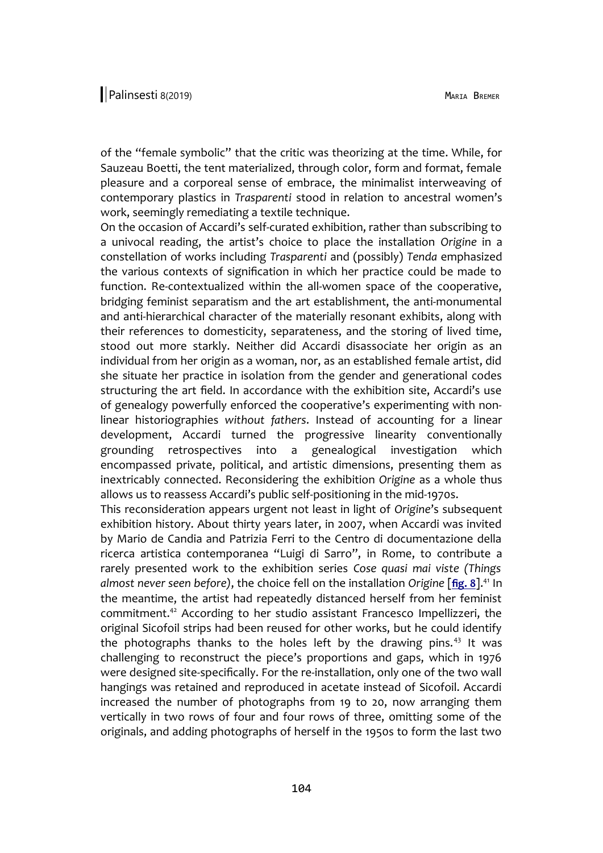of the "female symbolic" that the critic was theorizing at the time. While, for Sauzeau Boetti, the tent materialized, through color, form and format, female pleasure and a corporeal sense of embrace, the minimalist interweaving of contemporary plastics in *Trasparenti* stood in relation to ancestral women's work, seemingly remediating a textile technique.

On the occasion of Accardi's self-curated exhibition, rather than subscribing to a univocal reading, the artist's choice to place the installation *Origine* in a constellation of works including *Trasparenti* and (possibly) *Tenda* emphasized the various contexts of signification in which her practice could be made to function. Re-contextualized within the all-women space of the cooperative, bridging feminist separatism and the art establishment, the anti-monumental and anti-hierarchical character of the materially resonant exhibits, along with their references to domesticity, separateness, and the storing of lived time, stood out more starkly. Neither did Accardi disassociate her origin as an individual from her origin as a woman, nor, as an established female artist, did she situate her practice in isolation from the gender and generational codes structuring the art field. In accordance with the exhibition site, Accardi's use of genealogy powerfully enforced the cooperative's experimenting with nonlinear historiographies *without fathers*. Instead of accounting for a linear development, Accardi turned the progressive linearity conventionally grounding retrospectives into a genealogical investigation which encompassed private, political, and artistic dimensions, presenting them as inextricably connected. Reconsidering the exhibition *Origine* as a whole thus allows us to reassess Accardi's public self-positioning in the mid-1970s.

This reconsideration appears urgent not least in light of *Origine*'s subsequent exhibition history. About thirty years later, in 2007, when Accardi was invited by Mario de Candia and Patrizia Ferri to the Centro di documentazione della ricerca artistica contemporanea "Luigi di Sarro", in Rome, to contribute a rarely presented work to the exhibition series *Cose quasi mai viste (Things almost never seen before)*, the choice fell on the installation *Origine* [**[fig. 8](http://www.palinsesti.net/index.php/Palinsesti/article/downloadSuppFile/137/509)**]. <sup>41</sup> In the meantime, the artist had repeatedly distanced herself from her feminist commitment.<sup>42</sup> According to her studio assistant Francesco Impellizzeri, the original Sicofoil strips had been reused for other works, but he could identify the photographs thanks to the holes left by the drawing pins. $43$  It was challenging to reconstruct the piece's proportions and gaps, which in 1976 were designed site-specifically. For the re-installation, only one of the two wall hangings was retained and reproduced in acetate instead of Sicofoil. Accardi increased the number of photographs from 19 to 20, now arranging them vertically in two rows of four and four rows of three, omitting some of the originals, and adding photographs of herself in the 1950s to form the last two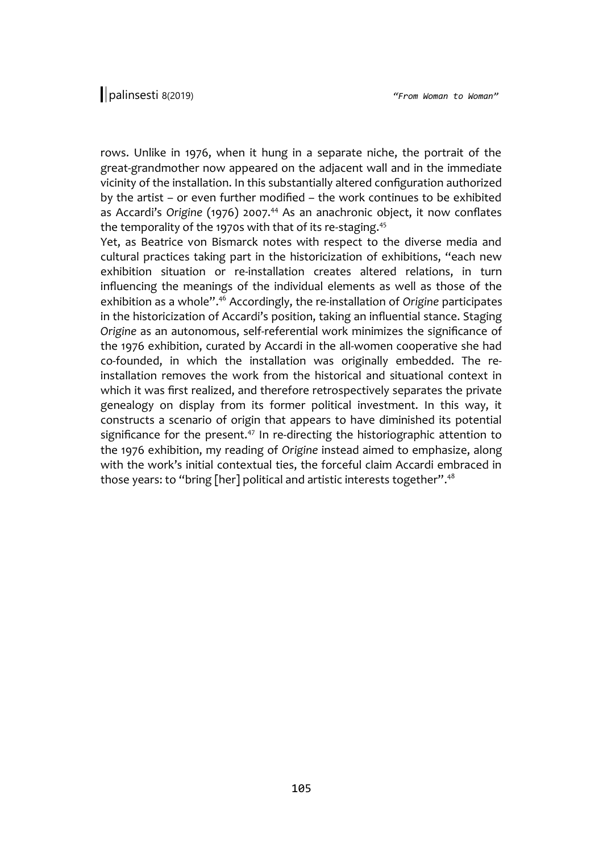rows. Unlike in 1976, when it hung in a separate niche, the portrait of the great-grandmother now appeared on the adjacent wall and in the immediate vicinity of the installation. In this substantially altered configuration authorized by the artist – or even further modified – the work continues to be exhibited as Accardi's *Origine* (1976) 2007.<sup>44</sup> As an anachronic object, it now conflates the temporality of the 1970s with that of its re-staging.<sup>45</sup>

Yet, as Beatrice von Bismarck notes with respect to the diverse media and cultural practices taking part in the historicization of exhibitions, "each new exhibition situation or re-installation creates altered relations, in turn influencing the meanings of the individual elements as well as those of the exhibition as a whole". <sup>46</sup> Accordingly, the re-installation of *Origine* participates in the historicization of Accardi's position, taking an influential stance. Staging *Origine* as an autonomous, self-referential work minimizes the significance of the 1976 exhibition, curated by Accardi in the all-women cooperative she had co-founded, in which the installation was originally embedded. The reinstallation removes the work from the historical and situational context in which it was first realized, and therefore retrospectively separates the private genealogy on display from its former political investment. In this way, it constructs a scenario of origin that appears to have diminished its potential significance for the present.<sup>47</sup> In re-directing the historiographic attention to the 1976 exhibition, my reading of *Origine* instead aimed to emphasize, along with the work's initial contextual ties, the forceful claim Accardi embraced in those years: to "bring [her] political and artistic interests together". 48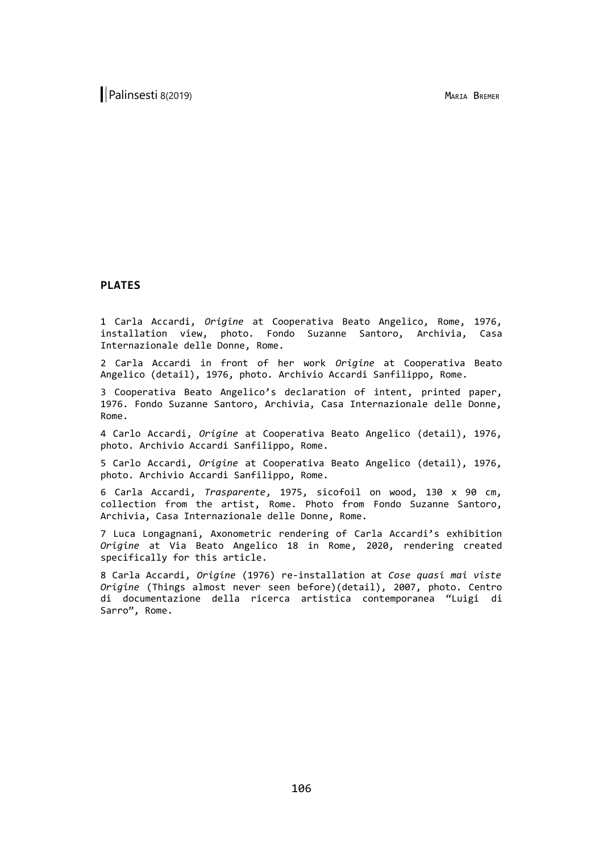#### **PLATES**

1 Carla Accardi, *Origine* at Cooperativa Beato Angelico, Rome, 1976, installation view, photo. Fondo Suzanne Santoro, Archivia, Casa Internazionale delle Donne, Rome.

2 Carla Accardi in front of her work *Origine* at Cooperativa Beato Angelico (detail), 1976, photo. Archivio Accardi Sanfilippo, Rome.

3 Cooperativa Beato Angelico's declaration of intent, printed paper, 1976. Fondo Suzanne Santoro, Archivia, Casa Internazionale delle Donne, Rome.

4 Carlo Accardi, *Origine* at Cooperativa Beato Angelico (detail), 1976, photo. Archivio Accardi Sanfilippo, Rome.

5 Carlo Accardi, *Origine* at Cooperativa Beato Angelico (detail), 1976, photo. Archivio Accardi Sanfilippo, Rome.

6 Carla Accardi, *Trasparente*, 1975, sicofoil on wood, 130 x 90 cm, collection from the artist, Rome. Photo from Fondo Suzanne Santoro, Archivia, Casa Internazionale delle Donne, Rome.

7 Luca Longagnani, Axonometric rendering of Carla Accardi's exhibition *Origine* at Via Beato Angelico 18 in Rome, 2020, rendering created specifically for this article.

8 Carla Accardi, *Origine* (1976) re-installation at *Cose quasi mai viste Origine* (Things almost never seen before)(detail), 2007, photo. Centro di documentazione della ricerca artistica contemporanea "Luigi di Sarro", Rome.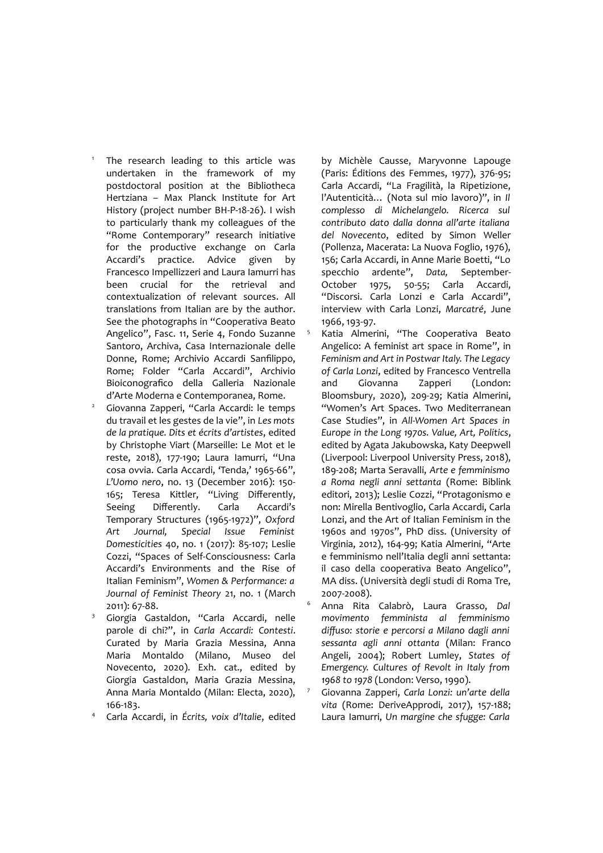The research leading to this article was undertaken in the framework of my postdoctoral position at the Bibliotheca Hertziana – Max Planck Institute for Art History (project number BH-P-18-26). I wish to particularly thank my colleagues of the "Rome Contemporary" research initiative for the productive exchange on Carla Accardi's practice. Advice given by Francesco Impellizzeri and Laura Iamurri has been crucial for the retrieval and contextualization of relevant sources. All translations from Italian are by the author. See the photographs in "Cooperativa Beato Angelico", Fasc. 11, Serie 4, Fondo Suzanne Santoro, Archiva, Casa Internazionale delle Donne, Rome; Archivio Accardi Sanfilippo, Rome; Folder "Carla Accardi", Archivio Bioiconografico della Galleria Nazionale d'Arte Moderna e Contemporanea, Rome.

1

- Giovanna Zapperi, "Carla Accardi: le temps du travail et les gestes de la vie", in *Les mots de la pratique. Dits et écrits d'artistes*, edited by Christophe Viart (Marseille: Le Mot et le reste, 2018), 177-190; Laura Iamurri, "Una cosa ovvia. Carla Accardi, 'Tenda,' 1965-66", *L'Uomo nero*, no. 13 (December 2016): 150- 165; Teresa Kittler, "Living Differently, Seeing Differently. Carla Accardi's Temporary Structures (1965-1972)", *Oxford Art Journal, Special Issue Feminist Domesticities* 40, no. 1 (2017): 85-107; Leslie Cozzi, "Spaces of Self-Consciousness: Carla Accardi's Environments and the Rise of Italian Feminism", *Women & Performance: a Journal of Feminist Theory* 21, no. 1 (March 2011): 67-88.
- <sup>3</sup> Giorgia Gastaldon, "Carla Accardi, nelle parole di chi?", in *Carla Accardi: Contesti*. Curated by Maria Grazia Messina, Anna Maria Montaldo (Milano, Museo del Novecento, 2020). Exh. cat., edited by Giorgia Gastaldon, Maria Grazia Messina, Anna Maria Montaldo (Milan: Electa, 2020), 166-183.
- <sup>4</sup> Carla Accardi, in *Écrits, voix d'Italie*, edited

by Michèle Causse, Maryvonne Lapouge (Paris: Éditions des Femmes, 1977), 376-95; Carla Accardi, "La Fragilità, la Ripetizione, l'Autenticità… (Nota sul mio lavoro)", in *Il complesso di Michelangelo. Ricerca sul contributo dato dalla donna all'arte italiana del Novecento*, edited by Simon Weller (Pollenza, Macerata: La Nuova Foglio, 1976), 156; Carla Accardi, in Anne Marie Boetti, "Lo specchio ardente", *Data,* September-October 1975, 50-55; Carla Accardi, "Discorsi. Carla Lonzi e Carla Accardi", interview with Carla Lonzi, *Marcatré*, June 1966, 193-97.

- Katia Almerini, "The Cooperativa Beato Angelico: A feminist art space in Rome", in *Feminism and Art in Postwar Italy. The Legacy of Carla Lonzi*, edited by Francesco Ventrella and Giovanna Zapperi (London: Bloomsbury, 2020), 209-29; Katia Almerini, "Women's Art Spaces. Two Mediterranean Case Studies", in *All-Women Art Spaces in Europe in the Long 1970s. Value, Art, Politics*, edited by Agata Jakubowska, Katy Deepwell (Liverpool: Liverpool University Press, 2018), 189-208; Marta Seravalli, *Arte e femminismo a Roma negli anni settanta* (Rome: Biblink editori, 2013); Leslie Cozzi, "Protagonismo e non: Mirella Bentivoglio, Carla Accardi, Carla Lonzi, and the Art of Italian Feminism in the 1960s and 1970s", PhD diss. (University of Virginia, 2012), 164-99; Katia Almerini, "Arte e femminismo nell'Italia degli anni settanta: il caso della cooperativa Beato Angelico", MA diss. (Università degli studi di Roma Tre, 2007-2008).
- <sup>6</sup> Anna Rita Calabrò, Laura Grasso, *Dal movimento femminista al femminismo diffuso: storie e percorsi a Milano dagli anni sessanta agli anni ottanta* (Milan: Franco Angeli, 2004); Robert Lumley, *States of Emergency. Cultures of Revolt in Italy from 1968 to 1978* (London: Verso, 1990).
- <sup>7</sup> Giovanna Zapperi, *Carla Lonzi: un'arte della vita* (Rome: DeriveApprodi, 2017), 157-188; Laura Iamurri, *Un margine che sfugge: Carla*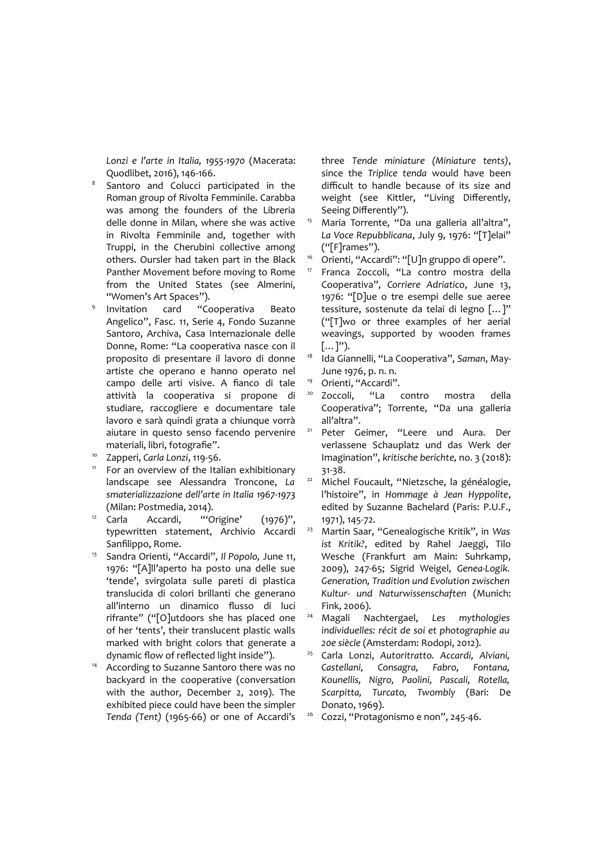*Lonzi e l'arte in Italia, 1955*-*1970* (Macerata: Quodlibet, 2016), 146-166.

- 8 Santoro and Colucci participated in the Roman group of Rivolta Femminile. Carabba was among the founders of the Libreria delle donne in Milan, where she was active in Rivolta Femminile and, together with Truppi, in the Cherubini collective among others. Oursler had taken part in the Black Panther Movement before moving to Rome from the United States (see Almerini, "Women's Art Spaces").
- 9 Invitation card "Cooperativa Beato Angelico", Fasc. 11, Serie 4, Fondo Suzanne Santoro, Archiva, Casa Internazionale delle Donne, Rome: "La cooperativa nasce con il proposito di presentare il lavoro di donne artiste che operano e hanno operato nel campo delle arti visive. A fianco di tale attività la cooperativa si propone di studiare, raccogliere e documentare tale lavoro e sarà quindi grata a chiunque vorrà aiutare in questo senso facendo pervenire materiali, libri, fotografie".
- <sup>10</sup> Zapperi, *Carla Lonzi*, 119-56.
- <sup>11</sup> For an overview of the Italian exhibitionary landscape see Alessandra Troncone, *La smaterializzazione dell'arte in Italia 1967-1973* (Milan: Postmedia, 2014).
- $12$  Carla Accardi, "'Origine' (1976)", typewritten statement, Archivio Accardi Sanfilippo, Rome.
- <sup>13</sup> Sandra Orienti, "Accardi", *Il Popolo,* June 11, 1976: "[A]ll'aperto ha posto una delle sue 'tende', svirgolata sulle pareti di plastica translucida di colori brillanti che generano all'interno un dinamico flusso di luci rifrante" ("[O]utdoors she has placed one of her 'tents', their translucent plastic walls marked with bright colors that generate a dynamic flow of reflected light inside").
- <sup>14</sup> According to Suzanne Santoro there was no backyard in the cooperative (conversation with the author, December 2, 2019). The exhibited piece could have been the simpler *Tenda (Tent)* (1965-66) or one of Accardi's

three *Tende miniature (Miniature tents)*, since the *Triplice tenda* would have been difficult to handle because of its size and weight (see Kittler, "Living Differently, Seeing Differently").

- <sup>15</sup> Maria Torrente, "Da una galleria all'altra", *La Voce Repubblicana*, July 9, 1976: "[T]elai" ("[F]rames").
- <sup>16</sup> Orienti, "Accardi": "[U]n gruppo di opere".
- <sup>17</sup> Franca Zoccoli, "La contro mostra della Cooperativa", *Corriere Adriatico*, June 13, 1976: "[D]ue o tre esempi delle sue aeree tessiture, sostenute da telai di legno […]" ("[T]wo or three examples of her aerial weavings, supported by wooden frames  $[...]$ ").
- <sup>18</sup> Ida Giannelli, "La Cooperativa", *Saman*, May-June 1976, p. n. n.
- <sup>19</sup> Orienti, "Accardi".
- <sup>20</sup> Zoccoli, "La contro mostra della Cooperativa"; Torrente, "Da una galleria all'altra".
- <sup>21</sup> Peter Geimer, "Leere und Aura. Der verlassene Schauplatz und das Werk der Imagination", *kritische berichte,* no. 3 (2018): 31-38.
- <sup>22</sup> Michel Foucault, "Nietzsche, la généalogie, l'histoire", in *Hommage à Jean Hyppolite*, edited by Suzanne Bachelard (Paris: P.U.F., 1971), 145-72.
- <sup>23</sup> Martin Saar, "Genealogische Kritik", in *Was ist Kritik?*, edited by Rahel Jaeggi, Tilo Wesche (Frankfurt am Main: Suhrkamp, 2009), 247-65; Sigrid Weigel, *Genea-Logik. Generation, Tradition und Evolution zwischen Kultur- und Naturwissenschaften* (Munich: Fink, 2006).
- <sup>24</sup> Magali Nachtergael, *Les mythologies individuelles: récit de soi et photographie au 20e siècle* (Amsterdam: Rodopi, 2012).
- <sup>25</sup> Carla Lonzi, *Autoritratto. Accardi, Alviani, Castellani, Consagra, Fabro, Fontana, Kounellis, Nigro, Paolini, Pascali, Rotella, Scarpitta, Turcato, Twombly* (Bari: De Donato, 1969).
- <sup>26</sup> Cozzi, "Protagonismo e non", 245-46.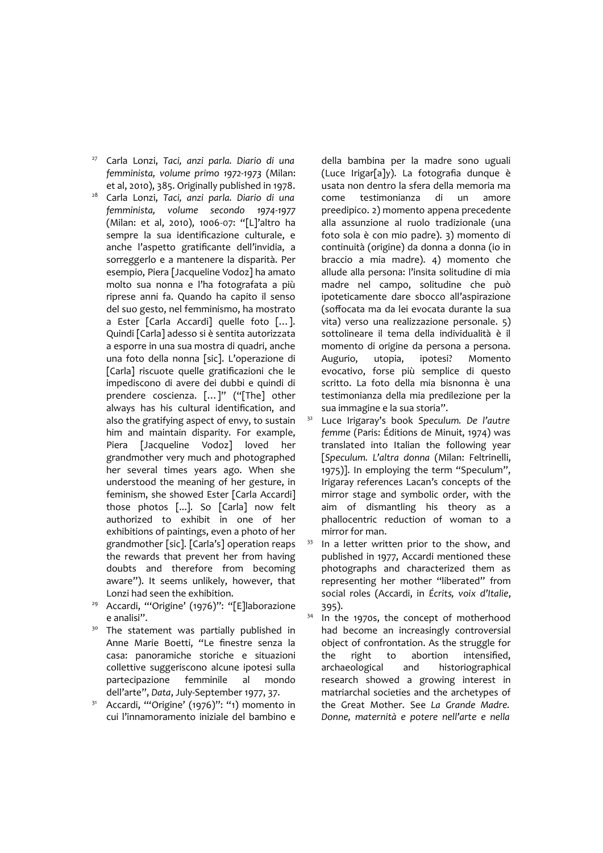<sup>27</sup> Carla Lonzi, *Taci, anzi parla. Diario di una femminista, volume primo 1972-1973* (Milan: et al, 2010), 385. Originally published in 1978.

- <sup>28</sup> Carla Lonzi, *Taci, anzi parla. Diario di una femminista, volume secondo 1974-1977* (Milan: et al, 2010), 1006-07: "[L]'altro ha sempre la sua identificazione culturale, e anche l'aspetto gratificante dell'invidia, a sorreggerlo e a mantenere la disparità. Per esempio, Piera [Jacqueline Vodoz] ha amato molto sua nonna e l'ha fotografata a più riprese anni fa. Quando ha capito il senso del suo gesto, nel femminismo, ha mostrato a Ester [Carla Accardi] quelle foto […]. Quindi [Carla] adesso si è sentita autorizzata a esporre in una sua mostra di quadri, anche una foto della nonna [sic]. L'operazione di [Carla] riscuote quelle gratificazioni che le impediscono di avere dei dubbi e quindi di prendere coscienza. […]" ("[The] other always has his cultural identification, and also the gratifying aspect of envy, to sustain him and maintain disparity. For example, Piera [Jacqueline Vodoz] loved her grandmother very much and photographed her several times years ago. When she understood the meaning of her gesture, in feminism, she showed Ester [Carla Accardi] those photos [...]. So [Carla] now felt authorized to exhibit in one of her exhibitions of paintings, even a photo of her grandmother [sic]. [Carla's] operation reaps the rewards that prevent her from having doubts and therefore from becoming aware"). It seems unlikely, however, that Lonzi had seen the exhibition.
- <sup>29</sup> Accardi, "'Origine' (1976)": "[E]laborazione e analisi".
- The statement was partially published in Anne Marie Boetti, "Le finestre senza la casa: panoramiche storiche e situazioni collettive suggeriscono alcune ipotesi sulla partecipazione femminile al mondo dell'arte", *Data*, July-September 1977, 37.
- $31$  Accardi, "'Origine' (1976)": "1) momento in cui l'innamoramento iniziale del bambino e

della bambina per la madre sono uguali (Luce Irigar[a]y). La fotografia dunque è usata non dentro la sfera della memoria ma come testimonianza di un amore preedipico. 2) momento appena precedente alla assunzione al ruolo tradizionale (una foto sola è con mio padre). 3) momento di continuità (origine) da donna a donna (io in braccio a mia madre). 4) momento che allude alla persona: l'insita solitudine di mia madre nel campo, solitudine che può ipoteticamente dare sbocco all'aspirazione (soffocata ma da lei evocata durante la sua vita) verso una realizzazione personale. 5) sottolineare il tema della individualità è il momento di origine da persona a persona. Augurio, utopia, ipotesi? Momento evocativo, forse più semplice di questo scritto. La foto della mia bisnonna è una testimonianza della mia predilezione per la sua immagine e la sua storia".

<sup>32</sup> Luce Irigaray's book *Speculum. De l'autre femme* (Paris: Éditions de Minuit, 1974) was translated into Italian the following year [*Speculum. L'altra donna* (Milan: Feltrinelli, 1975)]. In employing the term "Speculum", Irigaray references Lacan's concepts of the mirror stage and symbolic order, with the aim of dismantling his theory as a phallocentric reduction of woman to a mirror for man.

In a letter written prior to the show, and published in 1977, Accardi mentioned these photographs and characterized them as representing her mother "liberated" from social roles (Accardi, in *Écrits, voix d'Italie*, 395).

<sup>34</sup> In the 1970s, the concept of motherhood had become an increasingly controversial object of confrontation. As the struggle for the right to abortion intensified, archaeological and historiographical research showed a growing interest in matriarchal societies and the archetypes of the Great Mother. See *La Grande Madre. Donne, maternità e potere nell'arte e nella*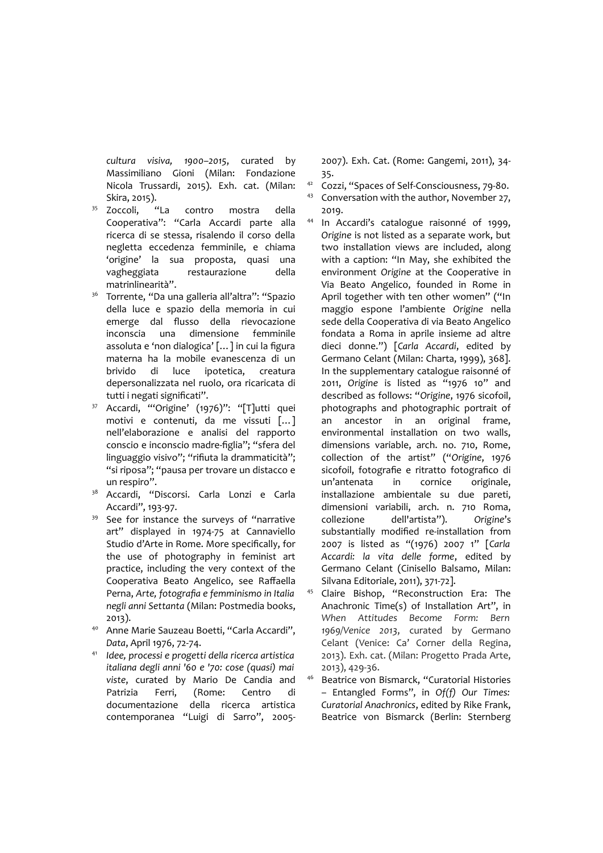*cultura visiva, 1900–2015*, curated by Massimiliano Gioni (Milan: Fondazione Nicola Trussardi, 2015). Exh. cat. (Milan: Skira, 2015).

- <sup>35</sup> Zoccoli, "La contro mostra della Cooperativa": "Carla Accardi parte alla ricerca di se stessa, risalendo il corso della negletta eccedenza femminile, e chiama 'origine' la sua proposta, quasi una vagheggiata restaurazione della matrinlinearità".
- <sup>36</sup> Torrente, "Da una galleria all'altra": "Spazio della luce e spazio della memoria in cui emerge dal flusso della rievocazione inconscia una dimensione femminile assoluta e 'non dialogica' […] in cui la figura materna ha la mobile evanescenza di un brivido di luce ipotetica, creatura depersonalizzata nel ruolo, ora ricaricata di tutti i negati significati".
- Accardi, "'Origine' (1976)": "[T]utti quei motivi e contenuti, da me vissuti […] nell'elaborazione e analisi del rapporto conscio e inconscio madre-figlia"; "sfera del linguaggio visivo"; "rifiuta la drammaticità"; "si riposa"; "pausa per trovare un distacco e un respiro".
- <sup>38</sup> Accardi, "Discorsi. Carla Lonzi e Carla Accardi", 193-97.
- <sup>39</sup> See for instance the surveys of "narrative art" displayed in 1974-75 at Cannaviello Studio d'Arte in Rome. More specifically, for the use of photography in feminist art practice, including the very context of the Cooperativa Beato Angelico, see Raffaella Perna, *Arte, fotografia e femminismo in Italia negli anni Settanta* (Milan: Postmedia books, 2013).
- <sup>40</sup> Anne Marie Sauzeau Boetti, "Carla Accardi", *Data*, April 1976, 72-74.
- <sup>41</sup> *Idee, processi e progetti della ricerca artistica italiana degli anni '60 e '70: cose (quasi) mai viste*, curated by Mario De Candia and Patrizia Ferri, (Rome: Centro di documentazione della ricerca artistica contemporanea "Luigi di Sarro", 2005-

2007). Exh. Cat. (Rome: Gangemi, 2011), 34- 35.

- <sup>42</sup> Cozzi, "Spaces of Self-Consciousness, 79-80.
- 43 Conversation with the author, November 27, 2019.
- <sup>44</sup> In Accardi's catalogue raisonné of 1999, *Origine* is not listed as a separate work, but two installation views are included, along with a caption: "In May, she exhibited the environment *Origine* at the Cooperative in Via Beato Angelico, founded in Rome in April together with ten other women" ("In maggio espone l'ambiente *Origine* nella sede della Cooperativa di via Beato Angelico fondata a Roma in aprile insieme ad altre dieci donne.") [*Carla Accardi*, edited by Germano Celant (Milan: Charta, 1999), 368]. In the supplementary catalogue raisonné of 2011, *Origine* is listed as "1976 10" and described as follows: "*Origine*, 1976 sicofoil, photographs and photographic portrait of an ancestor in an original frame, environmental installation on two walls, dimensions variable, arch. no. 710, Rome, collection of the artist" ("*Origine*, 1976 sicofoil, fotografie e ritratto fotografico di un'antenata in cornice originale, installazione ambientale su due pareti, dimensioni variabili, arch. n. 710 Roma, collezione dell'artista"). *Origine*'s substantially modified re-installation from 2007 is listed as "(1976) 2007 1" [*Carla Accardi: la vita delle forme*, edited by Germano Celant (Cinisello Balsamo, Milan: Silvana Editoriale, 2011), 371-72].
- <sup>45</sup> Claire Bishop, "Reconstruction Era: The Anachronic Time(s) of Installation Art", in *When Attitudes Become Form: Bern 1969/Venice 2013*, curated by Germano Celant (Venice: Ca' Corner della Regina, 2013). Exh. cat. (Milan: Progetto Prada Arte, 2013), 429-36.
- <sup>46</sup> Beatrice von Bismarck, "Curatorial Histories – Entangled Forms", in *Of(f) Our Times: Curatorial Anachronics*, edited by Rike Frank, Beatrice von Bismarck (Berlin: Sternberg